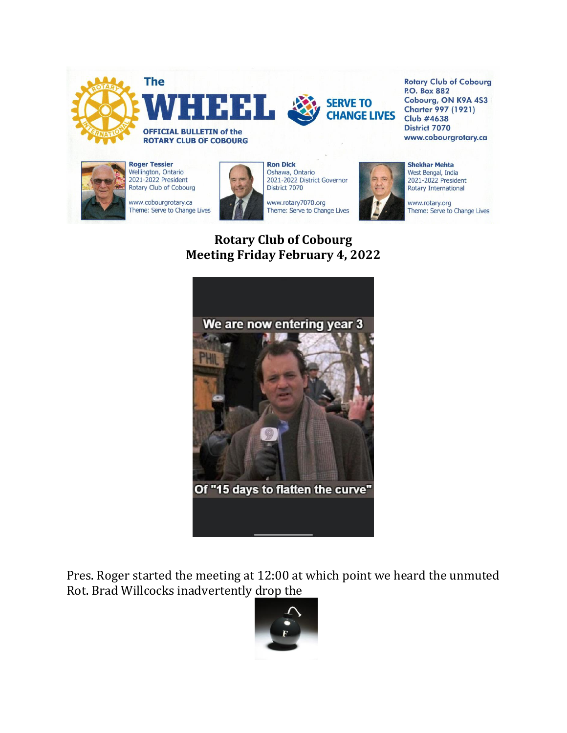



**Rotary Club of Cobourg P.O. Box 882** Cobourg, ON K9A 4S3 **Charter 997 (1921) Club #4638** District 7070 www.cobourgrotary.ca



**Roger Tessier** Wellington, Ontario<br>2021-2022 President Rotary Club of Cobourg

www.cobourgrotary.ca Theme: Serve to Change Lives



**Ron Dick** Oshawa, Ontario<br>2021-2022 District Governor District 7070

www.rotary7070.org Theme: Serve to Change Lives



**Shekhar Mehta** West Bengal, India 2021-2022 President Rotary International

www.rotary.org Theme: Serve to Change Lives

## **Rotary Club of Cobourg Meeting Friday February 4, 2022**



Pres. Roger started the meeting at 12:00 at which point we heard the unmuted Rot. Brad Willcocks inadvertently drop the

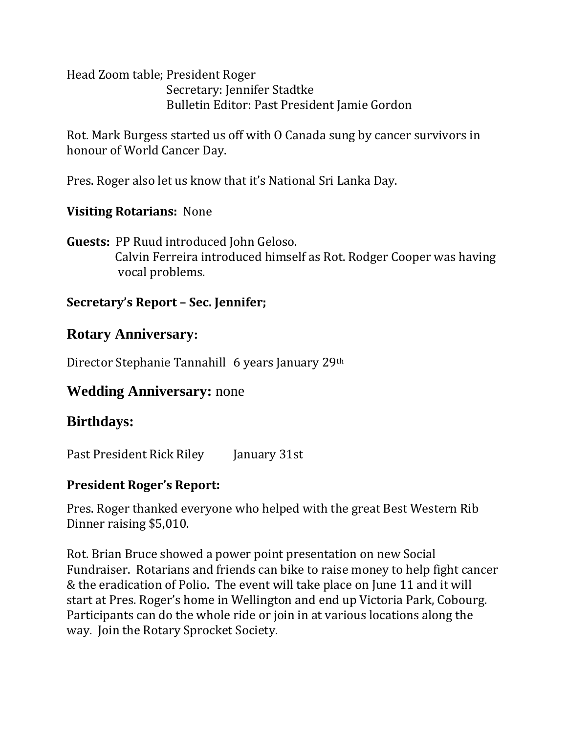Head Zoom table; President Roger Secretary: Jennifer Stadtke Bulletin Editor: Past President Jamie Gordon

Rot. Mark Burgess started us off with O Canada sung by cancer survivors in honour of World Cancer Day.

Pres. Roger also let us know that it's National Sri Lanka Day.

### **Visiting Rotarians:** None

**Guests:** PP Ruud introduced John Geloso. Calvin Ferreira introduced himself as Rot. Rodger Cooper was having vocal problems.

### **Secretary's Report – Sec. Jennifer;**

## **Rotary Anniversary:**

Director Stephanie Tannahill 6 years January 29th

# **Wedding Anniversary:** none

# **Birthdays:**

Past President Rick Riley January 31st

## **President Roger's Report:**

Pres. Roger thanked everyone who helped with the great Best Western Rib Dinner raising \$5,010.

Rot. Brian Bruce showed a power point presentation on new Social Fundraiser. Rotarians and friends can bike to raise money to help fight cancer & the eradication of Polio. The event will take place on June 11 and it will start at Pres. Roger's home in Wellington and end up Victoria Park, Cobourg. Participants can do the whole ride or join in at various locations along the way. Join the Rotary Sprocket Society.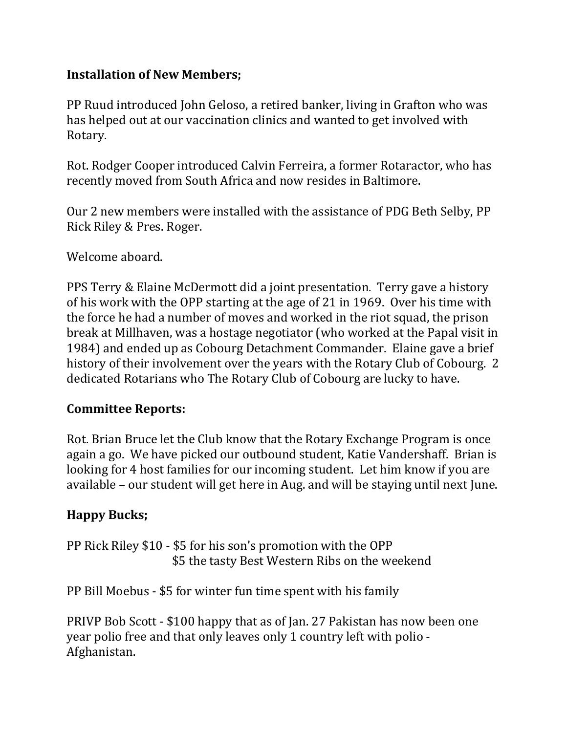## **Installation of New Members;**

PP Ruud introduced John Geloso, a retired banker, living in Grafton who was has helped out at our vaccination clinics and wanted to get involved with Rotary.

Rot. Rodger Cooper introduced Calvin Ferreira, a former Rotaractor, who has recently moved from South Africa and now resides in Baltimore.

Our 2 new members were installed with the assistance of PDG Beth Selby, PP Rick Riley & Pres. Roger.

Welcome aboard.

PPS Terry & Elaine McDermott did a joint presentation. Terry gave a history of his work with the OPP starting at the age of 21 in 1969. Over his time with the force he had a number of moves and worked in the riot squad, the prison break at Millhaven, was a hostage negotiator (who worked at the Papal visit in 1984) and ended up as Cobourg Detachment Commander. Elaine gave a brief history of their involvement over the years with the Rotary Club of Cobourg. 2 dedicated Rotarians who The Rotary Club of Cobourg are lucky to have.

#### **Committee Reports:**

Rot. Brian Bruce let the Club know that the Rotary Exchange Program is once again a go. We have picked our outbound student, Katie Vandershaff. Brian is looking for 4 host families for our incoming student. Let him know if you are available – our student will get here in Aug. and will be staying until next June.

## **Happy Bucks;**

PP Rick Riley \$10 - \$5 for his son's promotion with the OPP \$5 the tasty Best Western Ribs on the weekend

PP Bill Moebus - \$5 for winter fun time spent with his family

PRIVP Bob Scott - \$100 happy that as of Jan. 27 Pakistan has now been one year polio free and that only leaves only 1 country left with polio - Afghanistan.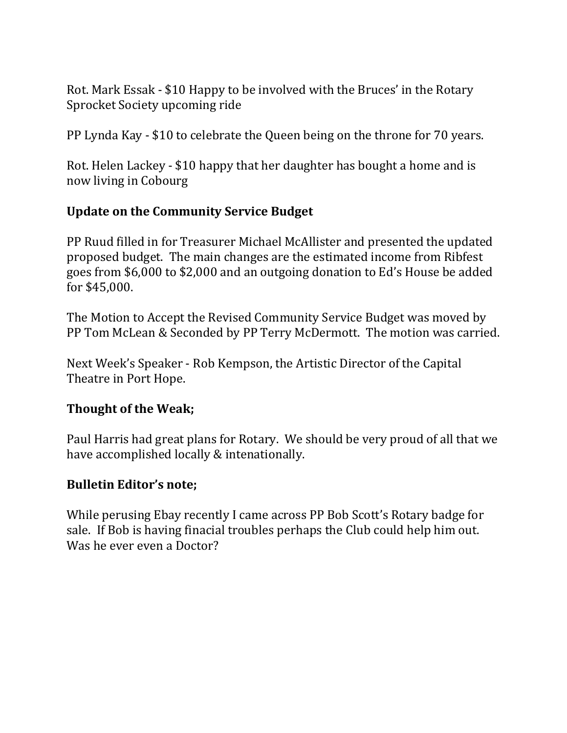Rot. Mark Essak - \$10 Happy to be involved with the Bruces' in the Rotary Sprocket Society upcoming ride

PP Lynda Kay - \$10 to celebrate the Queen being on the throne for 70 years.

Rot. Helen Lackey - \$10 happy that her daughter has bought a home and is now living in Cobourg

#### **Update on the Community Service Budget**

PP Ruud filled in for Treasurer Michael McAllister and presented the updated proposed budget. The main changes are the estimated income from Ribfest goes from \$6,000 to \$2,000 and an outgoing donation to Ed's House be added for \$45,000.

The Motion to Accept the Revised Community Service Budget was moved by PP Tom McLean & Seconded by PP Terry McDermott. The motion was carried.

Next Week's Speaker - Rob Kempson, the Artistic Director of the Capital Theatre in Port Hope.

#### **Thought of the Weak;**

Paul Harris had great plans for Rotary. We should be very proud of all that we have accomplished locally & intenationally.

#### **Bulletin Editor's note;**

While perusing Ebay recently I came across PP Bob Scott's Rotary badge for sale. If Bob is having finacial troubles perhaps the Club could help him out. Was he ever even a Doctor?